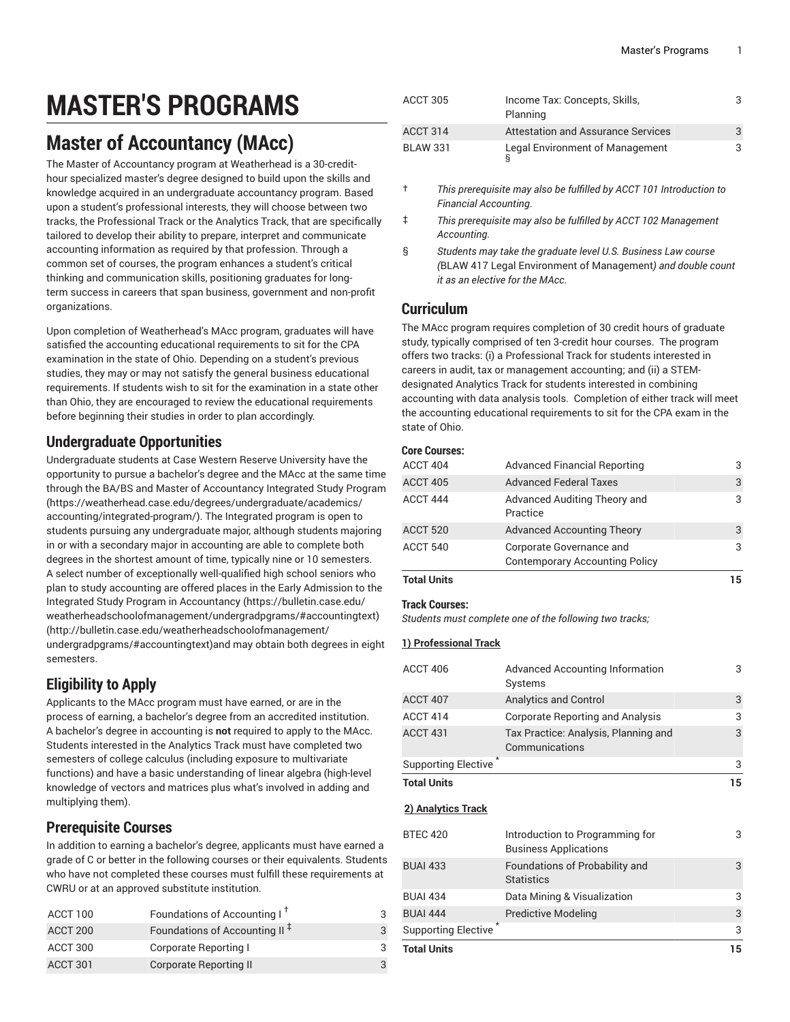# **MASTER'S PROGRAMS**

# **Master of Accountancy (MAcc)**

The Master of Accountancy program at Weatherhead is a 30-credithour specialized master's degree designed to build upon the skills and knowledge acquired in an undergraduate accountancy program. Based upon a student's professional interests, they will choose between two tracks, the Professional Track or the Analytics Track, that are specifically tailored to develop their ability to prepare, interpret and communicate accounting information as required by that profession. Through a common set of courses, the program enhances a student's critical thinking and communication skills, positioning graduates for longterm success in careers that span business, government and non-profit organizations.

Upon completion of Weatherhead's MAcc program, graduates will have satisfied the accounting educational requirements to sit for the CPA examination in the state of Ohio. Depending on a student's previous studies, they may or may not satisfy the general business educational requirements. If students wish to sit for the examination in a state other than Ohio, they are encouraged to review the educational requirements before beginning their studies in order to plan accordingly.

### **Undergraduate Opportunities**

Undergraduate students at Case Western Reserve University have the opportunity to pursue a bachelor's degree and the MAcc at the same time through the BA/BS and Master of [Accountancy](https://weatherhead.case.edu/degrees/undergraduate/academics/accounting/integrated-program/) Integrated Study Program ([https://weatherhead.case.edu/degrees/undergraduate/academics/](https://weatherhead.case.edu/degrees/undergraduate/academics/accounting/integrated-program/) [accounting/integrated-program/](https://weatherhead.case.edu/degrees/undergraduate/academics/accounting/integrated-program/)). The Integrated program is open to students pursuing any undergraduate major, although students majoring in or with a secondary major in accounting are able to complete both degrees in the shortest amount of time, typically nine or 10 semesters. A select number of exceptionally well-qualified high school seniors who plan to study accounting are offered places in the [Early Admission to the](https://bulletin.case.edu/weatherheadschoolofmanagement/undergradpgrams/#accountingtext) Integrated Study Program in [Accountancy \(https://bulletin.case.edu/](https://bulletin.case.edu/weatherheadschoolofmanagement/undergradpgrams/#accountingtext) [weatherheadschoolofmanagement/undergradpgrams/#accountingtext](https://bulletin.case.edu/weatherheadschoolofmanagement/undergradpgrams/#accountingtext)[\)](http://bulletin.case.edu/weatherheadschoolofmanagement/undergradpgrams/#accountingtext) ([http://bulletin.case.edu/weatherheadschoolofmanagement/](http://bulletin.case.edu/weatherheadschoolofmanagement/undergradpgrams/#accountingtext) [undergradpgrams/#accountingtext\)](http://bulletin.case.edu/weatherheadschoolofmanagement/undergradpgrams/#accountingtext)and may obtain both degrees in eight semesters.

# **Eligibility to Apply**

Applicants to the MAcc program must have earned, or are in the process of earning, a bachelor's degree from an accredited institution. A bachelor's degree in accounting is **not** required to apply to the MAcc. Students interested in the Analytics Track must have completed two semesters of college calculus (including exposure to multivariate functions) and have a basic understanding of linear algebra (high-level knowledge of vectors and matrices plus what's involved in adding and multiplying them).

# **Prerequisite Courses**

In addition to earning a bachelor's degree, applicants must have earned a grade of C or better in the following courses or their equivalents. Students who have not completed these courses must fulfill these requirements at CWRU or at an approved substitute institution.

| ACCT 100 | Foundations of Accounting I <sup>t</sup>  |  |
|----------|-------------------------------------------|--|
| ACCT 200 | Foundations of Accounting II <sup>+</sup> |  |
| ACCT 300 | Corporate Reporting I                     |  |
| ACCT 301 | Corporate Reporting II                    |  |

| ACCT 305        | Income Tax: Concepts, Skills,<br>Planning |  |
|-----------------|-------------------------------------------|--|
| ACCT 314        | Attestation and Assurance Services        |  |
| <b>BLAW 331</b> | Legal Environment of Management           |  |

- † *This prerequisite may also be fulfilled by ACCT 101 Introduction to Financial Accounting*.
- ‡ *This prerequisite may also be fulfilled by ACCT 102 Management Accounting.*
- § *Students may take the graduate level U.S. Business Law course (*BLAW 417 Legal Environment of Management*) and double count it as an elective for the MAcc.*

# **Curriculum**

The MAcc program requires completion of 30 credit hours of graduate study, typically comprised of ten 3-credit hour courses. The program offers two tracks: (i) a Professional Track for students interested in careers in audit, tax or management accounting; and (ii) a STEMdesignated Analytics Track for students interested in combining accounting with data analysis tools. Completion of either track will meet the accounting educational requirements to sit for the CPA exam in the state of Ohio.

#### **Core Courses:**

| <b>Total Units</b> |                                          | 15 |
|--------------------|------------------------------------------|----|
|                    | <b>Contemporary Accounting Policy</b>    |    |
| ACCT 540           | Corporate Governance and                 | 3  |
| ACCT 520           | <b>Advanced Accounting Theory</b>        | 3  |
| ACCT 444           | Advanced Auditing Theory and<br>Practice | 3  |
| ACCT 405           | <b>Advanced Federal Taxes</b>            | 3  |
| ACCT 404           | <b>Advanced Financial Reporting</b>      | 3  |

#### **Track Courses:**

*Students must complete one of the following two tracks;*

#### **1) Professional Track**

| <b>Total Units</b>  |                                                        | 15 |
|---------------------|--------------------------------------------------------|----|
| Supporting Elective |                                                        | 3  |
| ACCT 431            | Tax Practice: Analysis, Planning and<br>Communications | 3  |
| ACCT 414            | Corporate Reporting and Analysis                       | 3  |
| ACCT 407            | <b>Analytics and Control</b>                           | 3  |
| ACCT 406            | <b>Advanced Accounting Information</b><br>Systems      | 3  |
|                     |                                                        |    |

**2) Analytics Track**

| <b>BTEC 420</b>            | Introduction to Programming for<br><b>Business Applications</b> | 3  |
|----------------------------|-----------------------------------------------------------------|----|
| <b>BUAI 433</b>            | Foundations of Probability and<br><b>Statistics</b>             | 3  |
| <b>BUAI 434</b>            | Data Mining & Visualization                                     | 3  |
| <b>BUAI 444</b>            | Predictive Modeling                                             | 3  |
| <b>Supporting Elective</b> |                                                                 | 3  |
| <b>Total Units</b>         |                                                                 | 15 |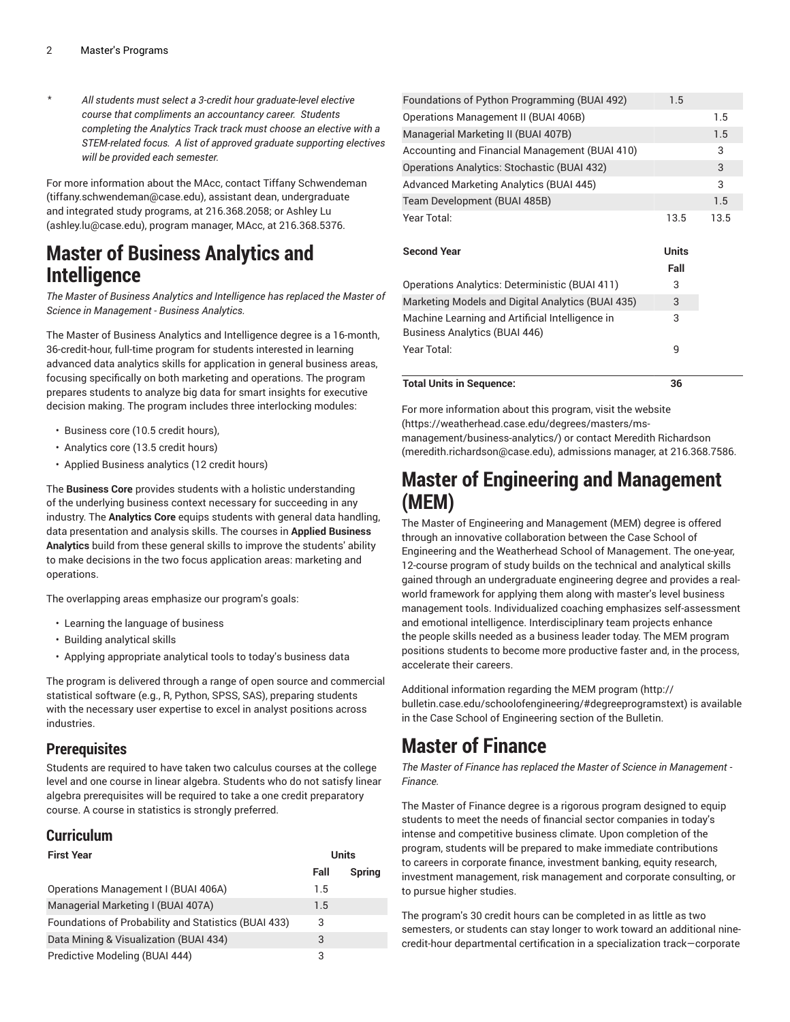\* *All students must select a 3-credit hour graduate-level elective course that compliments an accountancy career. Students completing the Analytics Track track must choose an elective with a STEM-related focus. A list of approved graduate supporting electives will be provided each semester.*

For more information about the MAcc, contact [Tiffany Schwendeman](mailto:tiffany.schwendeman@case.edu) (<tiffany.schwendeman@case.edu>), assistant dean, undergraduate and integrated study programs, at 216.368.2058; or [Ashley](mailto:ashley.lu@case.edu) Lu ([ashley.lu@case.edu\)](ashley.lu@case.edu), program manager, MAcc, at 216.368.5376.

# **Master of Business Analytics and Intelligence**

*The Master of Business Analytics and Intelligence has replaced the Master of Science in Management - Business Analytics.*

The Master of Business Analytics and Intelligence degree is a 16-month, 36-credit-hour, full-time program for students interested in learning advanced data analytics skills for application in general business areas, focusing specifically on both marketing and operations. The program prepares students to analyze big data for smart insights for executive decision making. The program includes three interlocking modules:

- Business core (10.5 credit hours),
- Analytics core (13.5 credit hours)
- Applied Business analytics (12 credit hours)

The **Business Core** provides students with a holistic understanding of the underlying business context necessary for succeeding in any industry. The **Analytics Core** equips students with general data handling, data presentation and analysis skills. The courses in **Applied Business Analytics** build from these general skills to improve the students' ability to make decisions in the two focus application areas: marketing and operations.

The overlapping areas emphasize our program's goals:

- Learning the language of business
- Building analytical skills
- Applying appropriate analytical tools to today's business data

The program is delivered through a range of open source and commercial statistical software (e.g., R, Python, SPSS, SAS), preparing students with the necessary user expertise to excel in analyst positions across industries.

### **Prerequisites**

Students are required to have taken two calculus courses at the college level and one course in linear algebra. Students who do not satisfy linear algebra prerequisites will be required to take a one credit preparatory course. A course in statistics is strongly preferred.

### **Curriculum**

| <b>First Year</b>                                    |      | <b>Units</b> |
|------------------------------------------------------|------|--------------|
|                                                      | Fall | Spring       |
| Operations Management I (BUAI 406A)                  | 1.5  |              |
| Managerial Marketing I (BUAI 407A)                   | 1.5  |              |
| Foundations of Probability and Statistics (BUAI 433) | 3    |              |
| Data Mining & Visualization (BUAI 434)               | 3    |              |
| Predictive Modeling (BUAI 444)                       | 3    |              |

| Year Total:                                                                      | 9            |      |
|----------------------------------------------------------------------------------|--------------|------|
| Machine Learning and Artificial Intelligence in<br>Business Analytics (BUAI 446) | 3            |      |
| Marketing Models and Digital Analytics (BUAI 435)                                | 3            |      |
| Operations Analytics: Deterministic (BUAI 411)                                   | 3            |      |
|                                                                                  | Fall         |      |
| <b>Second Year</b>                                                               | <b>Units</b> |      |
| Year Total:                                                                      | 13.5         | 13.5 |
| Team Development (BUAI 485B)                                                     |              | 1.5  |
| Advanced Marketing Analytics (BUAI 445)                                          |              | 3    |
| Operations Analytics: Stochastic (BUAI 432)                                      |              | 3    |
| Accounting and Financial Management (BUAI 410)                                   |              | 3    |
| Managerial Marketing II (BUAI 407B)                                              |              | 1.5  |
| Operations Management II (BUAI 406B)                                             |              | 1.5  |
| Foundations of Python Programming (BUAI 492)                                     |              |      |

For more information about this program, visit the [website](https://weatherhead.case.edu/degrees/masters/ms-management/business-analytics/) [\(https://weatherhead.case.edu/degrees/masters/ms](https://weatherhead.case.edu/degrees/masters/ms-management/business-analytics/)[management/business-analytics/\)](https://weatherhead.case.edu/degrees/masters/ms-management/business-analytics/) or contact Meredith [Richardson](mailto:meredith.richardson@case.edu) [\(meredith.richardson@case.edu](meredith.richardson@case.edu)), admissions manager, at 216.368.7586.

# **Master of Engineering and Management (MEM)**

The Master of Engineering and Management (MEM) degree is offered through an innovative collaboration between the Case School of Engineering and the Weatherhead School of Management. The one-year, 12-course program of study builds on the technical and analytical skills gained through an undergraduate engineering degree and provides a realworld framework for applying them along with master's level business management tools. Individualized coaching emphasizes self-assessment and emotional intelligence. Interdisciplinary team projects enhance the people skills needed as a business leader today. The MEM program positions students to become more productive faster and, in the process, accelerate their careers.

Additional information regarding the MEM [program](http://bulletin.case.edu/schoolofengineering/#degreeprogramstext) [\(http://](http://bulletin.case.edu/schoolofengineering/#degreeprogramstext) [bulletin.case.edu/schoolofengineering/#degreeprogramstext](http://bulletin.case.edu/schoolofengineering/#degreeprogramstext)) is available in the Case School of Engineering section of the Bulletin.

# **Master of Finance**

*The Master of Finance has replaced the Master of Science in Management - Finance.*

The Master of Finance degree is a rigorous program designed to equip students to meet the needs of financial sector companies in today's intense and competitive business climate. Upon completion of the program, students will be prepared to make immediate contributions to careers in corporate finance, investment banking, equity research, investment management, risk management and corporate consulting, or to pursue higher studies.

The program's 30 credit hours can be completed in as little as two semesters, or students can stay longer to work toward an additional ninecredit-hour departmental certification in a specialization track—corporate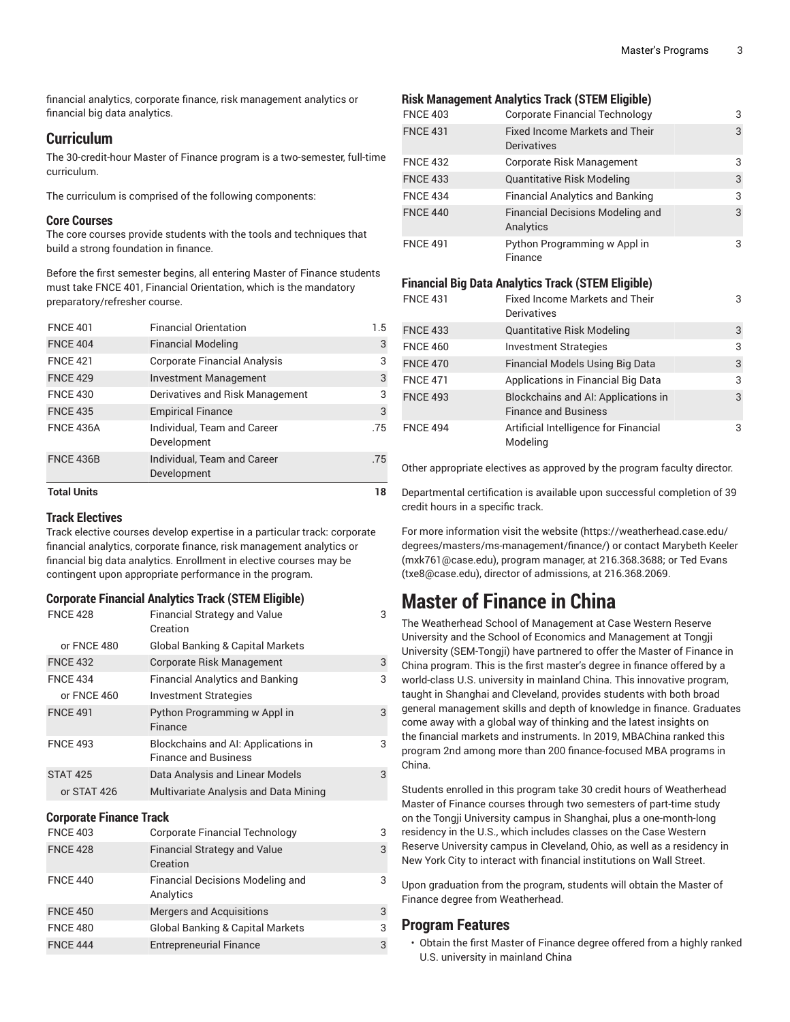financial analytics, corporate finance, risk management analytics or financial big data analytics.

#### **Curriculum**

The 30-credit-hour Master of Finance program is a two-semester, full-time curriculum.

The curriculum is comprised of the following components:

#### **Core Courses**

The core courses provide students with the tools and techniques that build a strong foundation in finance.

Before the first semester begins, all entering Master of Finance students must take FNCE 401, Financial Orientation, which is the mandatory preparatory/refresher course.

| <b>Total Units</b> |                                            | 18  |
|--------------------|--------------------------------------------|-----|
| <b>FNCE 436B</b>   | Individual, Team and Career<br>Development | .75 |
| <b>FNCE 436A</b>   | Individual, Team and Career<br>Development | .75 |
| <b>FNCE 435</b>    | <b>Empirical Finance</b>                   | 3   |
| <b>FNCE 430</b>    | Derivatives and Risk Management            | 3   |
| <b>FNCE 429</b>    | <b>Investment Management</b>               | 3   |
| <b>FNCE 421</b>    | <b>Corporate Financial Analysis</b>        | 3   |
| <b>FNCE 404</b>    | <b>Financial Modeling</b>                  | 3   |
| <b>FNCE 401</b>    | <b>Financial Orientation</b>               | 1.5 |

#### **Track Electives**

Track elective courses develop expertise in a particular track: corporate financial analytics, corporate finance, risk management analytics or financial big data analytics. Enrollment in elective courses may be contingent upon appropriate performance in the program.

#### **Corporate Financial Analytics Track (STEM Eligible)**

| <b>FNCE 428</b> | <b>Financial Strategy and Value</b><br>Creation                    | 3 |
|-----------------|--------------------------------------------------------------------|---|
| or FNCE 480     | <b>Global Banking &amp; Capital Markets</b>                        |   |
| <b>FNCE 432</b> | Corporate Risk Management                                          | 3 |
| <b>FNCE 434</b> | <b>Financial Analytics and Banking</b>                             | 3 |
| or FNCE 460     | <b>Investment Strategies</b>                                       |   |
| <b>FNCE 491</b> | Python Programming w Appl in<br>Finance                            | 3 |
| <b>FNCE 493</b> | Blockchains and AI: Applications in<br><b>Finance and Business</b> | 3 |
| <b>STAT 425</b> | Data Analysis and Linear Models                                    | 3 |
| or STAT 426     | Multivariate Analysis and Data Mining                              |   |

#### **Corporate Finance Track**

| <b>FNCE 403</b> | Corporate Financial Technology                  | 3 |
|-----------------|-------------------------------------------------|---|
| <b>FNCE 428</b> | <b>Financial Strategy and Value</b><br>Creation | 3 |
| <b>FNCE 440</b> | Financial Decisions Modeling and<br>Analytics   | 3 |
| <b>FNCE 450</b> | <b>Mergers and Acquisitions</b>                 | 3 |
| <b>FNCE 480</b> | <b>Global Banking &amp; Capital Markets</b>     | 3 |
| <b>FNCE 444</b> | <b>Entrepreneurial Finance</b>                  | 3 |

#### **Risk Management Analytics Track (STEM Eligible)**

| <b>FNCE 403</b> | <b>Corporate Financial Technology</b>                       | 3 |
|-----------------|-------------------------------------------------------------|---|
| <b>FNCE 431</b> | <b>Fixed Income Markets and Their</b><br><b>Derivatives</b> | 3 |
| <b>FNCE 432</b> | Corporate Risk Management                                   | 3 |
| <b>FNCE 433</b> | <b>Quantitative Risk Modeling</b>                           | 3 |
| <b>FNCE 434</b> | <b>Financial Analytics and Banking</b>                      | 3 |
| <b>FNCE 440</b> | <b>Financial Decisions Modeling and</b><br>Analytics        | 3 |
| <b>FNCE 491</b> | Python Programming w Appl in<br>Finance                     | 3 |

#### **Financial Big Data Analytics Track (STEM Eligible)**

| <b>FNCE 431</b> | <b>Fixed Income Markets and Their</b><br>Derivatives               | 3 |
|-----------------|--------------------------------------------------------------------|---|
| <b>FNCE 433</b> | <b>Quantitative Risk Modeling</b>                                  | 3 |
| <b>FNCE 460</b> | <b>Investment Strategies</b>                                       | 3 |
| <b>FNCE 470</b> | <b>Financial Models Using Big Data</b>                             | 3 |
| <b>FNCE 471</b> | Applications in Financial Big Data                                 | 3 |
| <b>FNCE 493</b> | Blockchains and AI: Applications in<br><b>Finance and Business</b> | 3 |
| <b>FNCE 494</b> | Artificial Intelligence for Financial<br>Modeling                  | 3 |

Other appropriate electives as approved by the program faculty director.

Departmental certification is available upon successful completion of 39 credit hours in a specific track.

For more information visit the [website](https://weatherhead.case.edu/degrees/masters/ms-management/finance/) ([https://weatherhead.case.edu/](https://weatherhead.case.edu/degrees/masters/ms-management/finance/) [degrees/masters/ms-management/finance/](https://weatherhead.case.edu/degrees/masters/ms-management/finance/)) or contact [Marybeth](mailto:mxk761@case.edu) Keeler [\(mxk761@case.edu](mxk761@case.edu)), program manager, at 216.368.3688; or Ted [Evans](mailto:txe8@case.edu) [\(txe8@case.edu](txe8@case.edu)), director of admissions, at 216.368.2069.

# **Master of Finance in China**

The Weatherhead School of Management at Case Western Reserve University and the School of Economics and Management at Tongji University (SEM-Tongji) have partnered to offer the Master of Finance in China program. This is the first master's degree in finance offered by a world-class U.S. university in mainland China. This innovative program, taught in Shanghai and Cleveland, provides students with both broad general management skills and depth of knowledge in finance. Graduates come away with a global way of thinking and the latest insights on the financial markets and instruments. In 2019, MBAChina ranked this program 2nd among more than 200 finance-focused MBA programs in China.

Students enrolled in this program take 30 credit hours of Weatherhead Master of Finance courses through two semesters of part-time study on the Tongji University campus in Shanghai, plus a one-month-long residency in the U.S., which includes classes on the Case Western Reserve University campus in Cleveland, Ohio, as well as a residency in New York City to interact with financial institutions on Wall Street.

Upon graduation from the program, students will obtain the Master of Finance degree from Weatherhead.

### **Program Features**

• Obtain the first Master of Finance degree offered from a highly ranked U.S. university in mainland China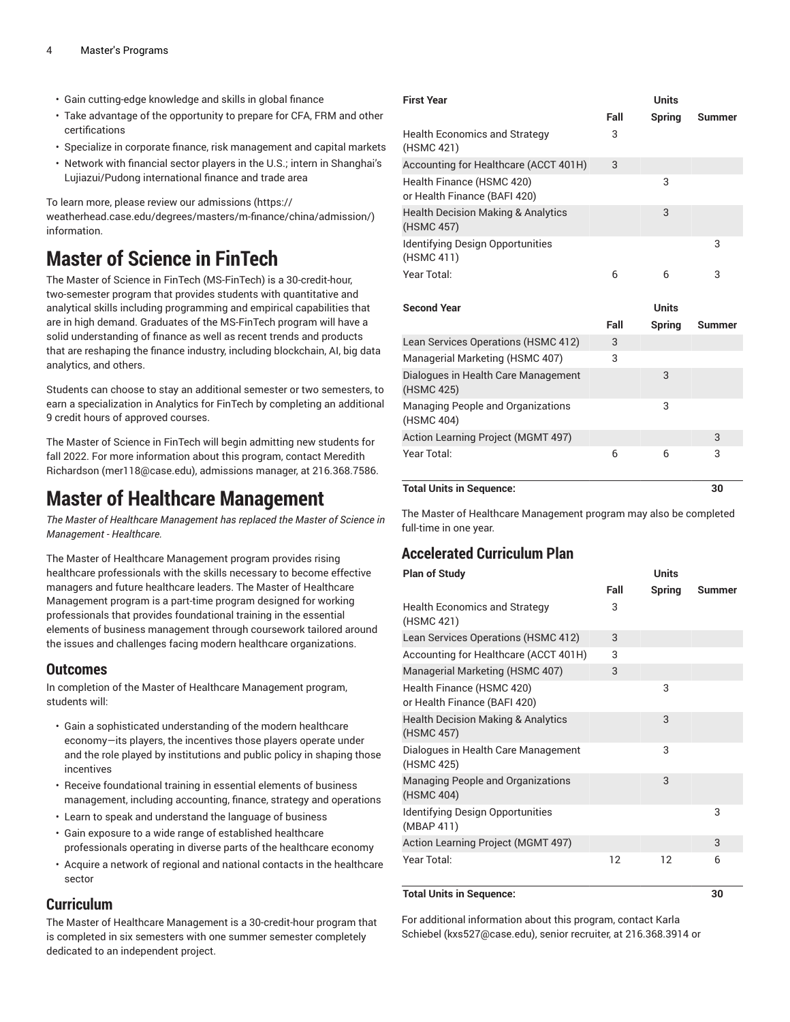- Gain cutting-edge knowledge and skills in global finance
- Take advantage of the opportunity to prepare for CFA, FRM and other certifications
- Specialize in corporate finance, risk management and capital markets
- Network with financial sector players in the U.S.; intern in Shanghai's Lujiazui/Pudong international finance and trade area

To learn more, please review our [admissions \(https://](https://weatherhead.case.edu/degrees/masters/m-finance/china/admission/)

[weatherhead.case.edu/degrees/masters/m-finance/china/admission/\)](https://weatherhead.case.edu/degrees/masters/m-finance/china/admission/) information.

# **Master of Science in FinTech**

The Master of Science in FinTech (MS-FinTech) is a 30-credit-hour, two-semester program that provides students with quantitative and analytical skills including programming and empirical capabilities that are in high demand. Graduates of the MS-FinTech program will have a solid understanding of finance as well as recent trends and products that are reshaping the finance industry, including blockchain, AI, big data analytics, and others.

Students can choose to stay an additional semester or two semesters, to earn a specialization in Analytics for FinTech by completing an additional 9 credit hours of approved courses.

The Master of Science in FinTech will begin admitting new students for fall 2022. For more information about this program, contact [Meredith](mailto:mer118@case.edu) [Richardson](mailto:mer118@case.edu) ([mer118@case.edu\)](mer118@case.edu), admissions manager, at 216.368.7586.

# **Master of Healthcare Management**

*The Master of Healthcare Management has replaced the Master of Science in Management - Healthcare.*

The Master of Healthcare Management program provides rising healthcare professionals with the skills necessary to become effective managers and future healthcare leaders. The Master of Healthcare Management program is a part-time program designed for working professionals that provides foundational training in the essential elements of business management through coursework tailored around the issues and challenges facing modern healthcare organizations.

### **Outcomes**

In completion of the Master of Healthcare Management program, students will:

- Gain a sophisticated understanding of the modern healthcare economy—its players, the incentives those players operate under and the role played by institutions and public policy in shaping those incentives
- Receive foundational training in essential elements of business management, including accounting, finance, strategy and operations
- Learn to speak and understand the language of business
- Gain exposure to a wide range of established healthcare professionals operating in diverse parts of the healthcare economy
- Acquire a network of regional and national contacts in the healthcare sector

### **Curriculum**

The Master of Healthcare Management is a 30-credit-hour program that is completed in six semesters with one summer semester completely dedicated to an independent project.

| <b>First Year</b>                                           |      | <b>Units</b>  |               |
|-------------------------------------------------------------|------|---------------|---------------|
|                                                             | Fall | <b>Spring</b> | <b>Summer</b> |
| <b>Health Economics and Strategy</b><br>(HSMC 421)          | 3    |               |               |
| Accounting for Healthcare (ACCT 401H)                       | 3    |               |               |
| Health Finance (HSMC 420)<br>or Health Finance (BAFI 420)   |      | 3             |               |
| <b>Health Decision Making &amp; Analytics</b><br>(HSMC 457) |      | 3             |               |
| <b>Identifying Design Opportunities</b><br>(HSMC 411)       |      |               | 3             |
| Year Total:                                                 | 6    | 6             | 3             |
| <b>Second Year</b>                                          |      | <b>Units</b>  |               |
|                                                             | Fall | <b>Spring</b> | Summer        |
| Lean Services Operations (HSMC 412)                         | 3    |               |               |
| Managerial Marketing (HSMC 407)                             | 3    |               |               |
| Dialogues in Health Care Management<br>(HSMC 425)           |      | 3             |               |
| Managing People and Organizations<br>(HSMC 404)             |      | 3             |               |
| <b>Action Learning Project (MGMT 497)</b>                   |      |               | 3             |
| Year Total:                                                 | 6    | 6             | 3             |
| <b>Total Units in Sequence:</b>                             |      |               | 30            |

The Master of Healthcare Management program may also be completed full-time in one year.

# **Accelerated Curriculum Plan**

| <b>Plan of Study</b>                                        | Units |               |               |
|-------------------------------------------------------------|-------|---------------|---------------|
|                                                             | Fall  | <b>Spring</b> | <b>Summer</b> |
| <b>Health Economics and Strategy</b><br>(HSMC 421)          | 3     |               |               |
| Lean Services Operations (HSMC 412)                         | 3     |               |               |
| Accounting for Healthcare (ACCT 401H)                       | 3     |               |               |
| Managerial Marketing (HSMC 407)                             | 3     |               |               |
| Health Finance (HSMC 420)<br>or Health Finance (BAFI 420)   |       | 3             |               |
| <b>Health Decision Making &amp; Analytics</b><br>(HSMC 457) |       | 3             |               |
| Dialogues in Health Care Management<br>(HSMC 425)           |       | 3             |               |
| <b>Managing People and Organizations</b><br>(HSMC 404)      |       | 3             |               |
| Identifying Design Opportunities<br>(MBAP 411)              |       |               | 3             |
| <b>Action Learning Project (MGMT 497)</b>                   |       |               | 3             |
| Year Total:                                                 | 12    | 12            | 6             |

#### **Total Units in Sequence: 30**

For additional information about this program, contact [Karla](mailto:kxs527@case.edu) [Schiebel](mailto:kxs527@case.edu) (<kxs527@case.edu>), senior recruiter, at 216.368.3914 or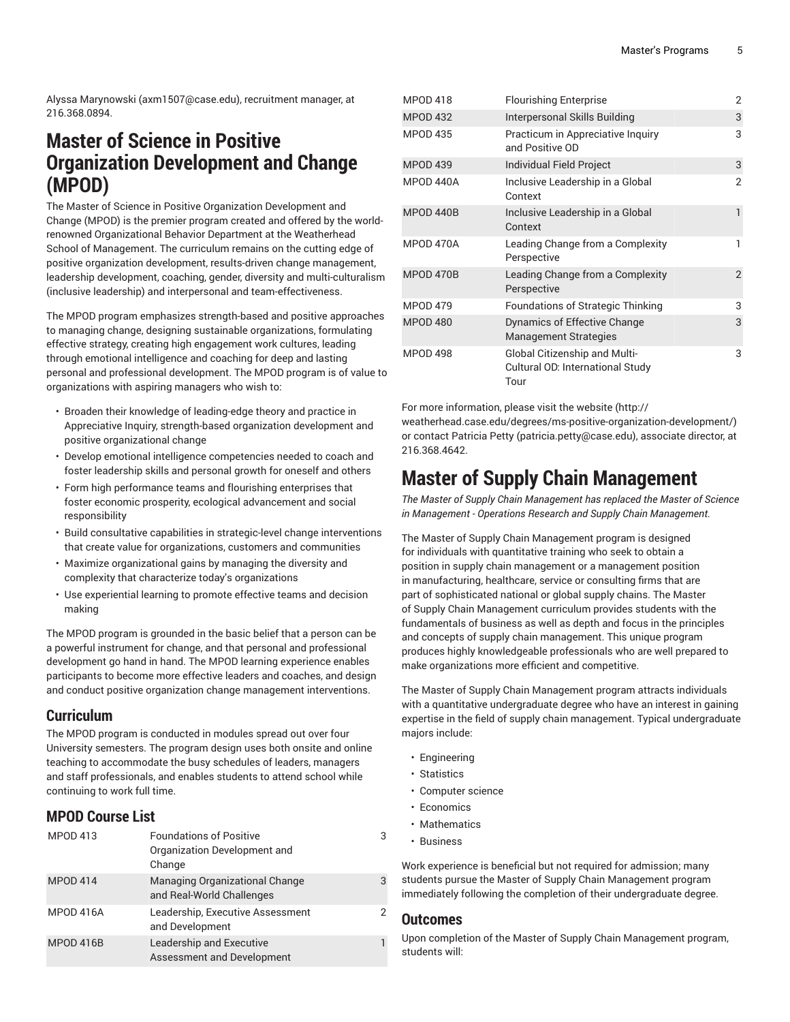Alyssa [Marynowski](mailto:axm1507@case.edu) [\(axm1507@case.edu](axm1507@case.edu)), recruitment manager, at 216.368.0894.

# **Master of Science in Positive Organization Development and Change (MPOD)**

The Master of Science in Positive Organization Development and Change (MPOD) is the premier program created and offered by the worldrenowned Organizational Behavior Department at the Weatherhead School of Management. The curriculum remains on the cutting edge of positive organization development, results-driven change management, leadership development, coaching, gender, diversity and multi-culturalism (inclusive leadership) and interpersonal and team-effectiveness.

The MPOD program emphasizes strength-based and positive approaches to managing change, designing sustainable organizations, formulating effective strategy, creating high engagement work cultures, leading through emotional intelligence and coaching for deep and lasting personal and professional development. The MPOD program is of value to organizations with aspiring managers who wish to:

- Broaden their knowledge of leading-edge theory and practice in Appreciative Inquiry, strength-based organization development and positive organizational change
- Develop emotional intelligence competencies needed to coach and foster leadership skills and personal growth for oneself and others
- Form high performance teams and flourishing enterprises that foster economic prosperity, ecological advancement and social responsibility
- Build consultative capabilities in strategic-level change interventions that create value for organizations, customers and communities
- Maximize organizational gains by managing the diversity and complexity that characterize today's organizations
- Use experiential learning to promote effective teams and decision making

The MPOD program is grounded in the basic belief that a person can be a powerful instrument for change, and that personal and professional development go hand in hand. The MPOD learning experience enables participants to become more effective leaders and coaches, and design and conduct positive organization change management interventions.

### **Curriculum**

The MPOD program is conducted in modules spread out over four University semesters. The program design uses both onsite and online teaching to accommodate the busy schedules of leaders, managers and staff professionals, and enables students to attend school while continuing to work full time.

### **MPOD Course List**

| <b>MPOD 413</b> | <b>Foundations of Positive</b><br>Organization Development and<br>Change | 3 |
|-----------------|--------------------------------------------------------------------------|---|
| <b>MPOD 414</b> | Managing Organizational Change<br>and Real-World Challenges              | 3 |
| MPOD 416A       | Leadership, Executive Assessment<br>and Development                      | 2 |
| MPOD 416B       | Leadership and Executive<br>Assessment and Development                   |   |

| <b>MPOD 418</b> | <b>Flourishing Enterprise</b>                                                    | 2              |
|-----------------|----------------------------------------------------------------------------------|----------------|
| <b>MPOD 432</b> | Interpersonal Skills Building                                                    | 3              |
| <b>MPOD 435</b> | Practicum in Appreciative Inquiry<br>and Positive OD                             | 3              |
| <b>MPOD 439</b> | <b>Individual Field Project</b>                                                  | 3              |
| MPOD 440A       | Inclusive Leadership in a Global<br>Context                                      | $\overline{2}$ |
| MPOD 440B       | Inclusive Leadership in a Global<br>Context                                      | 1              |
| MPOD 470A       | Leading Change from a Complexity<br>Perspective                                  | 1              |
| MPOD 470B       | Leading Change from a Complexity<br>Perspective                                  | $\overline{2}$ |
| <b>MPOD 479</b> | Foundations of Strategic Thinking                                                | 3              |
| <b>MPOD 480</b> | Dynamics of Effective Change<br><b>Management Strategies</b>                     | 3              |
| <b>MPOD 498</b> | <b>Global Citizenship and Multi-</b><br>Cultural OD: International Study<br>Tour | 3              |

For more information, please visit the [website](http://weatherhead.case.edu/degrees/ms-positive-organization-development/) ([http://](http://weatherhead.case.edu/degrees/ms-positive-organization-development/)

[weatherhead.case.edu/degrees/ms-positive-organization-development/\)](http://weatherhead.case.edu/degrees/ms-positive-organization-development/) or contact [Patricia](mailto:patricia.petty@case.edu) Petty [\(patricia.petty@case.edu](patricia.petty@case.edu)), associate director, at 216.368.4642.

# **Master of Supply Chain Management**

*The Master of Supply Chain Management has replaced the Master of Science in Management - Operations Research and Supply Chain Management.*

The Master of Supply Chain Management program is designed for individuals with quantitative training who seek to obtain a position in supply chain management or a management position in manufacturing, healthcare, service or consulting firms that are part of sophisticated national or global supply chains. The Master of Supply Chain Management curriculum provides students with the fundamentals of business as well as depth and focus in the principles and concepts of supply chain management. This unique program produces highly knowledgeable professionals who are well prepared to make organizations more efficient and competitive.

The Master of Supply Chain Management program attracts individuals with a quantitative undergraduate degree who have an interest in gaining expertise in the field of supply chain management. Typical undergraduate majors include:

- Engineering
- Statistics
- Computer science
- Economics
- Mathematics
- Business

Work experience is beneficial but not required for admission; many students pursue the Master of Supply Chain Management program immediately following the completion of their undergraduate degree.

#### **Outcomes**

Upon completion of the Master of Supply Chain Management program, students will: